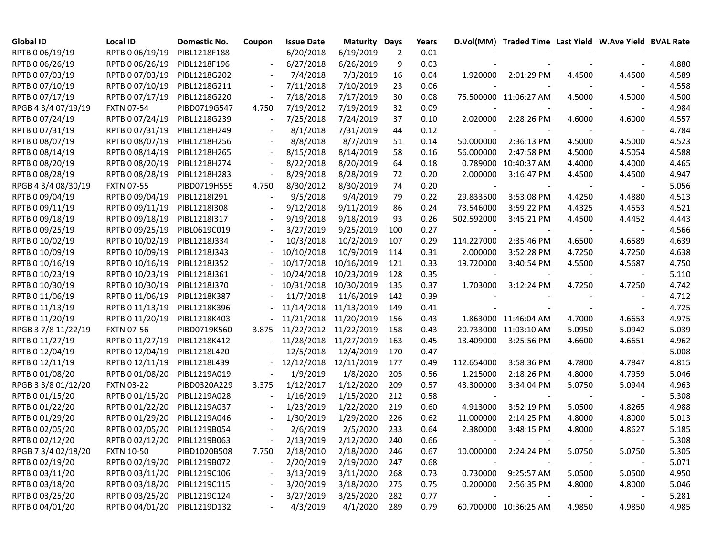| <b>Global ID</b>    | <b>Local ID</b>              | <b>Domestic No.</b> | Coupon                   | <b>Issue Date</b> | <b>Maturity Days</b> |     | Years |                          | D.Vol(MM) Traded Time Last Yield W.Ave Yield BVAL Rate |        |        |       |
|---------------------|------------------------------|---------------------|--------------------------|-------------------|----------------------|-----|-------|--------------------------|--------------------------------------------------------|--------|--------|-------|
| RPTB 0 06/19/19     | RPTB 0 06/19/19              | PIBL1218F188        |                          | 6/20/2018         | 6/19/2019            | 2   | 0.01  |                          |                                                        |        |        |       |
| RPTB 0 06/26/19     | RPTB 0 06/26/19              | PIBL1218F196        |                          | 6/27/2018         | 6/26/2019            | 9   | 0.03  |                          |                                                        |        |        | 4.880 |
| RPTB 0 07/03/19     | RPTB 0 07/03/19              | PIBL1218G202        |                          | 7/4/2018          | 7/3/2019             | 16  | 0.04  | 1.920000                 | 2:01:29 PM                                             | 4.4500 | 4.4500 | 4.589 |
| RPTB 0 07/10/19     | RPTB 0 07/10/19              | PIBL1218G211        |                          | 7/11/2018         | 7/10/2019            | 23  | 0.06  |                          |                                                        |        |        | 4.558 |
| RPTB 0 07/17/19     | RPTB 0 07/17/19              | PIBL1218G220        |                          | 7/18/2018         | 7/17/2019            | 30  | 0.08  |                          | 75.500000 11:06:27 AM                                  | 4.5000 | 4.5000 | 4.500 |
| RPGB 4 3/4 07/19/19 | <b>FXTN 07-54</b>            | PIBD0719G547        | 4.750                    | 7/19/2012         | 7/19/2019            | 32  | 0.09  |                          |                                                        |        |        | 4.984 |
| RPTB 0 07/24/19     | RPTB 0 07/24/19              | PIBL1218G239        |                          | 7/25/2018         | 7/24/2019            | 37  | 0.10  | 2.020000                 | 2:28:26 PM                                             | 4.6000 | 4.6000 | 4.557 |
| RPTB 0 07/31/19     | RPTB 0 07/31/19              | PIBL1218H249        | $\overline{\phantom{a}}$ | 8/1/2018          | 7/31/2019            | 44  | 0.12  |                          |                                                        |        |        | 4.784 |
| RPTB 0 08/07/19     | RPTB 0 08/07/19              | PIBL1218H256        |                          | 8/8/2018          | 8/7/2019             | 51  | 0.14  | 50.000000                | 2:36:13 PM                                             | 4.5000 | 4.5000 | 4.523 |
| RPTB 0 08/14/19     | RPTB 0 08/14/19              | PIBL1218H265        |                          | 8/15/2018         | 8/14/2019            | 58  | 0.16  | 56.000000                | 2:47:58 PM                                             | 4.5000 | 4.5054 | 4.588 |
| RPTB 0 08/20/19     | RPTB 0 08/20/19              | PIBL1218H274        |                          | 8/22/2018         | 8/20/2019            | 64  | 0.18  |                          | 0.789000 10:40:37 AM                                   | 4.4000 | 4.4000 | 4.465 |
| RPTB 0 08/28/19     | RPTB 0 08/28/19              | PIBL1218H283        |                          | 8/29/2018         | 8/28/2019            | 72  | 0.20  | 2.000000                 | 3:16:47 PM                                             | 4.4500 | 4.4500 | 4.947 |
| RPGB 4 3/4 08/30/19 | <b>FXTN 07-55</b>            | PIBD0719H555        | 4.750                    | 8/30/2012         | 8/30/2019            | 74  | 0.20  | $\overline{\phantom{a}}$ | $\overline{\phantom{a}}$                               |        |        | 5.056 |
| RPTB 0 09/04/19     | RPTB 0 09/04/19              | PIBL1218I291        |                          | 9/5/2018          | 9/4/2019             | 79  | 0.22  | 29.833500                | 3:53:08 PM                                             | 4.4250 | 4.4880 | 4.513 |
| RPTB 0 09/11/19     | RPTB 0 09/11/19              | PIBL1218I308        |                          | 9/12/2018         | 9/11/2019            | 86  | 0.24  | 73.546000                | 3:59:22 PM                                             | 4.4325 | 4.4553 | 4.521 |
| RPTB 0 09/18/19     | RPTB 0 09/18/19              | PIBL1218I317        |                          | 9/19/2018         | 9/18/2019            | 93  | 0.26  | 502.592000               | 3:45:21 PM                                             | 4.4500 | 4.4452 | 4.443 |
| RPTB 0 09/25/19     | RPTB 0 09/25/19              | PIBL0619C019        |                          | 3/27/2019         | 9/25/2019            | 100 | 0.27  | $\overline{\phantom{a}}$ |                                                        |        |        | 4.566 |
| RPTB 0 10/02/19     | RPTB 0 10/02/19              | PIBL1218J334        |                          | 10/3/2018         | 10/2/2019            | 107 | 0.29  | 114.227000               | 2:35:46 PM                                             | 4.6500 | 4.6589 | 4.639 |
| RPTB 0 10/09/19     | RPTB 0 10/09/19              | PIBL1218J343        |                          | 10/10/2018        | 10/9/2019            | 114 | 0.31  | 2.000000                 | 3:52:28 PM                                             | 4.7250 | 4.7250 | 4.638 |
| RPTB 0 10/16/19     | RPTB 0 10/16/19              | PIBL1218J352        |                          | 10/17/2018        | 10/16/2019           | 121 | 0.33  | 19.720000                | 3:40:54 PM                                             | 4.5500 | 4.5687 | 4.750 |
| RPTB 0 10/23/19     | RPTB 0 10/23/19              | PIBL1218J361        |                          | 10/24/2018        | 10/23/2019           | 128 | 0.35  |                          |                                                        |        |        | 5.110 |
| RPTB 0 10/30/19     | RPTB 0 10/30/19              | PIBL1218J370        |                          | 10/31/2018        | 10/30/2019           | 135 | 0.37  | 1.703000                 | $3:12:24$ PM                                           | 4.7250 | 4.7250 | 4.742 |
| RPTB 0 11/06/19     | RPTB 0 11/06/19              | PIBL1218K387        |                          | 11/7/2018         | 11/6/2019            | 142 | 0.39  |                          |                                                        |        |        | 4.712 |
| RPTB 0 11/13/19     | RPTB 0 11/13/19              | PIBL1218K396        |                          | 11/14/2018        | 11/13/2019           | 149 | 0.41  |                          |                                                        |        |        | 4.725 |
| RPTB 0 11/20/19     | RPTB 0 11/20/19              | PIBL1218K403        |                          | 11/21/2018        | 11/20/2019           | 156 | 0.43  |                          | 1.863000 11:46:04 AM                                   | 4.7000 | 4.6653 | 4.975 |
| RPGB 37/8 11/22/19  | <b>FXTN 07-56</b>            | PIBD0719K560        | 3.875                    | 11/22/2012        | 11/22/2019           | 158 | 0.43  |                          | 20.733000 11:03:10 AM                                  | 5.0950 | 5.0942 | 5.039 |
| RPTB 0 11/27/19     | RPTB 0 11/27/19              | PIBL1218K412        |                          | 11/28/2018        | 11/27/2019           | 163 | 0.45  | 13.409000                | 3:25:56 PM                                             | 4.6600 | 4.6651 | 4.962 |
| RPTB 0 12/04/19     | RPTB 0 12/04/19              | PIBL1218L420        |                          | 12/5/2018         | 12/4/2019            | 170 | 0.47  |                          |                                                        |        |        | 5.008 |
| RPTB 0 12/11/19     | RPTB 0 12/11/19              | PIBL1218L439        |                          | 12/12/2018        | 12/11/2019           | 177 | 0.49  | 112.654000               | 3:58:36 PM                                             | 4.7800 | 4.7847 | 4.815 |
| RPTB 0 01/08/20     | RPTB 0 01/08/20              | PIBL1219A019        | $\overline{\phantom{a}}$ | 1/9/2019          | 1/8/2020             | 205 | 0.56  | 1.215000                 | 2:18:26 PM                                             | 4.8000 | 4.7959 | 5.046 |
| RPGB 3 3/8 01/12/20 | <b>FXTN 03-22</b>            | PIBD0320A229        | 3.375                    | 1/12/2017         | 1/12/2020            | 209 | 0.57  | 43.300000                | 3:34:04 PM                                             | 5.0750 | 5.0944 | 4.963 |
| RPTB 0 01/15/20     | RPTB 0 01/15/20              | PIBL1219A028        |                          | 1/16/2019         | 1/15/2020            | 212 | 0.58  |                          |                                                        |        |        | 5.308 |
| RPTB 0 01/22/20     | RPTB 0 01/22/20              | PIBL1219A037        | $\blacksquare$           | 1/23/2019         | 1/22/2020            | 219 | 0.60  | 4.913000                 | 3:52:19 PM                                             | 5.0500 | 4.8265 | 4.988 |
| RPTB 0 01/29/20     | RPTB 0 01/29/20              | PIBL1219A046        |                          | 1/30/2019         | 1/29/2020            | 226 | 0.62  | 11.000000                | 2:14:25 PM                                             | 4.8000 | 4.8000 | 5.013 |
| RPTB 0 02/05/20     | RPTB 0 02/05/20              | PIBL1219B054        |                          | 2/6/2019          | 2/5/2020             | 233 | 0.64  | 2.380000                 | 3:48:15 PM                                             | 4.8000 | 4.8627 | 5.185 |
| RPTB 0 02/12/20     | RPTB 0 02/12/20 PIBL1219B063 |                     |                          | 2/13/2019         | 2/12/2020            | 240 | 0.66  |                          |                                                        |        |        | 5.308 |
| RPGB 7 3/4 02/18/20 | <b>FXTN 10-50</b>            | PIBD1020B508        | 7.750                    | 2/18/2010         | 2/18/2020            | 246 | 0.67  | 10.000000                | 2:24:24 PM                                             | 5.0750 | 5.0750 | 5.305 |
| RPTB 0 02/19/20     | RPTB 0 02/19/20 PIBL1219B072 |                     |                          | 2/20/2019         | 2/19/2020            | 247 | 0.68  | $\overline{\phantom{a}}$ |                                                        |        |        | 5.071 |
| RPTB 0 03/11/20     | RPTB 0 03/11/20 PIBL1219C106 |                     |                          | 3/13/2019         | 3/11/2020            | 268 | 0.73  |                          | 0.730000 9:25:57 AM                                    | 5.0500 | 5.0500 | 4.950 |
| RPTB 0 03/18/20     | RPTB 0 03/18/20 PIBL1219C115 |                     |                          | 3/20/2019         | 3/18/2020            | 275 | 0.75  | 0.200000                 | 2:56:35 PM                                             | 4.8000 | 4.8000 | 5.046 |
| RPTB 0 03/25/20     | RPTB 0 03/25/20 PIBL1219C124 |                     |                          | 3/27/2019         | 3/25/2020            | 282 | 0.77  | $\overline{\phantom{a}}$ |                                                        |        |        | 5.281 |
| RPTB 0 04/01/20     | RPTB 0 04/01/20 PIBL1219D132 |                     |                          | 4/3/2019          | 4/1/2020             | 289 | 0.79  |                          | 60.700000 10:36:25 AM                                  | 4.9850 | 4.9850 | 4.985 |
|                     |                              |                     |                          |                   |                      |     |       |                          |                                                        |        |        |       |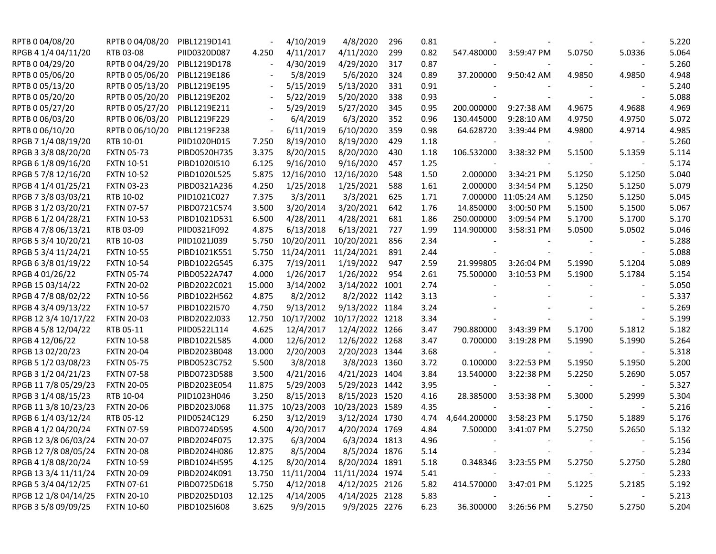| RPTB 0 04/08/20      | RPTB 0 04/08/20   | PIBL1219D141 |        | 4/10/2019  | 4/8/2020        | 296 | 0.81 |                          |                      |        |                          | 5.220 |
|----------------------|-------------------|--------------|--------|------------|-----------------|-----|------|--------------------------|----------------------|--------|--------------------------|-------|
| RPGB 4 1/4 04/11/20  | RTB 03-08         | PIID0320D087 | 4.250  | 4/11/2017  | 4/11/2020       | 299 | 0.82 | 547.480000               | 3:59:47 PM           | 5.0750 | 5.0336                   | 5.064 |
| RPTB 0 04/29/20      | RPTB 0 04/29/20   | PIBL1219D178 |        | 4/30/2019  | 4/29/2020       | 317 | 0.87 | $\overline{\phantom{a}}$ |                      |        |                          | 5.260 |
| RPTB 0 05/06/20      | RPTB 0 05/06/20   | PIBL1219E186 |        | 5/8/2019   | 5/6/2020        | 324 | 0.89 | 37.200000                | 9:50:42 AM           | 4.9850 | 4.9850                   | 4.948 |
| RPTB 0 05/13/20      | RPTB 0 05/13/20   | PIBL1219E195 |        | 5/15/2019  | 5/13/2020       | 331 | 0.91 |                          |                      |        |                          | 5.240 |
| RPTB 0 05/20/20      | RPTB 0 05/20/20   | PIBL1219E202 |        | 5/22/2019  | 5/20/2020       | 338 | 0.93 |                          |                      |        |                          | 5.088 |
| RPTB 0 05/27/20      | RPTB 0 05/27/20   | PIBL1219E211 |        | 5/29/2019  | 5/27/2020       | 345 | 0.95 | 200.000000               | 9:27:38 AM           | 4.9675 | 4.9688                   | 4.969 |
| RPTB 0 06/03/20      | RPTB 0 06/03/20   | PIBL1219F229 |        | 6/4/2019   | 6/3/2020        | 352 | 0.96 | 130.445000               | 9:28:10 AM           | 4.9750 | 4.9750                   | 5.072 |
| RPTB 0 06/10/20      | RPTB 0 06/10/20   | PIBL1219F238 |        | 6/11/2019  | 6/10/2020       | 359 | 0.98 | 64.628720                | 3:39:44 PM           | 4.9800 | 4.9714                   | 4.985 |
| RPGB 7 1/4 08/19/20  | RTB 10-01         | PIID1020H015 | 7.250  | 8/19/2010  | 8/19/2020       | 429 | 1.18 |                          |                      |        |                          | 5.260 |
| RPGB 3 3/8 08/20/20  | <b>FXTN 05-73</b> | PIBD0520H735 | 3.375  | 8/20/2015  | 8/20/2020       | 430 | 1.18 | 106.532000               | 3:38:32 PM           | 5.1500 | 5.1359                   | 5.114 |
| RPGB 6 1/8 09/16/20  | <b>FXTN 10-51</b> | PIBD1020I510 | 6.125  | 9/16/2010  | 9/16/2020       | 457 | 1.25 |                          |                      |        |                          | 5.174 |
| RPGB 5 7/8 12/16/20  | <b>FXTN 10-52</b> | PIBD1020L525 | 5.875  | 12/16/2010 | 12/16/2020      | 548 | 1.50 | 2.000000                 | 3:34:21 PM           | 5.1250 | 5.1250                   | 5.040 |
| RPGB 4 1/4 01/25/21  | <b>FXTN 03-23</b> | PIBD0321A236 | 4.250  | 1/25/2018  | 1/25/2021       | 588 | 1.61 | 2.000000                 | 3:34:54 PM           | 5.1250 | 5.1250                   | 5.079 |
| RPGB 7 3/8 03/03/21  | RTB 10-02         | PIID1021C027 | 7.375  | 3/3/2011   | 3/3/2021        | 625 | 1.71 |                          | 7.000000 11:05:24 AM | 5.1250 | 5.1250                   | 5.045 |
| RPGB 3 1/2 03/20/21  | <b>FXTN 07-57</b> | PIBD0721C574 | 3.500  | 3/20/2014  | 3/20/2021       | 642 | 1.76 | 14.850000                | 3:00:50 PM           | 5.1500 | 5.1500                   | 5.067 |
| RPGB 6 1/2 04/28/21  | <b>FXTN 10-53</b> | PIBD1021D531 | 6.500  | 4/28/2011  | 4/28/2021       | 681 | 1.86 | 250.000000               | 3:09:54 PM           | 5.1700 | 5.1700                   | 5.170 |
| RPGB 4 7/8 06/13/21  | RTB 03-09         | PIID0321F092 | 4.875  | 6/13/2018  | 6/13/2021       | 727 | 1.99 | 114.900000               | 3:58:31 PM           | 5.0500 | 5.0502                   | 5.046 |
| RPGB 5 3/4 10/20/21  | RTB 10-03         | PIID1021J039 | 5.750  | 10/20/2011 | 10/20/2021      | 856 | 2.34 |                          |                      |        |                          | 5.288 |
| RPGB 5 3/4 11/24/21  | <b>FXTN 10-55</b> | PIBD1021K551 | 5.750  | 11/24/2011 | 11/24/2021      | 891 | 2.44 |                          |                      |        |                          | 5.088 |
| RPGB 63/8 01/19/22   | <b>FXTN 10-54</b> | PIBD1022G545 | 6.375  | 7/19/2011  | 1/19/2022       | 947 | 2.59 | 21.999805                | 3:26:04 PM           | 5.1990 | 5.1204                   | 5.089 |
| RPGB 4 01/26/22      | <b>FXTN 05-74</b> | PIBD0522A747 | 4.000  | 1/26/2017  | 1/26/2022       | 954 | 2.61 | 75.500000                | 3:10:53 PM           | 5.1900 | 5.1784                   | 5.154 |
| RPGB 15 03/14/22     | <b>FXTN 20-02</b> | PIBD2022C021 | 15.000 | 3/14/2002  | 3/14/2022 1001  |     | 2.74 | $\overline{\phantom{a}}$ |                      |        |                          | 5.050 |
| RPGB 4 7/8 08/02/22  | <b>FXTN 10-56</b> | PIBD1022H562 | 4.875  | 8/2/2012   | 8/2/2022 1142   |     | 3.13 |                          |                      |        |                          | 5.337 |
| RPGB 4 3/4 09/13/22  | <b>FXTN 10-57</b> | PIBD1022I570 | 4.750  | 9/13/2012  | 9/13/2022 1184  |     | 3.24 |                          |                      |        |                          | 5.269 |
| RPGB 12 3/4 10/17/22 | <b>FXTN 20-03</b> | PIBD2022J033 | 12.750 | 10/17/2002 | 10/17/2022 1218 |     | 3.34 |                          |                      |        |                          | 5.199 |
| RPGB 4 5/8 12/04/22  | RTB 05-11         | PIID0522L114 | 4.625  | 12/4/2017  | 12/4/2022 1266  |     | 3.47 | 790.880000               | 3:43:39 PM           | 5.1700 | 5.1812                   | 5.182 |
| RPGB 4 12/06/22      | <b>FXTN 10-58</b> | PIBD1022L585 | 4.000  | 12/6/2012  | 12/6/2022 1268  |     | 3.47 | 0.700000                 | 3:19:28 PM           | 5.1990 | 5.1990                   | 5.264 |
| RPGB 13 02/20/23     | <b>FXTN 20-04</b> | PIBD2023B048 | 13.000 | 2/20/2003  | 2/20/2023 1344  |     | 3.68 |                          |                      |        |                          | 5.318 |
| RPGB 5 1/2 03/08/23  | <b>FXTN 05-75</b> | PIBD0523C752 | 5.500  | 3/8/2018   | 3/8/2023 1360   |     | 3.72 | 0.100000                 | 3:22:53 PM           | 5.1950 | 5.1950                   | 5.200 |
| RPGB 3 1/2 04/21/23  | <b>FXTN 07-58</b> | PIBD0723D588 | 3.500  | 4/21/2016  | 4/21/2023 1404  |     | 3.84 | 13.540000                | 3:22:38 PM           | 5.2250 | 5.2690                   | 5.057 |
| RPGB 11 7/8 05/29/23 | <b>FXTN 20-05</b> | PIBD2023E054 | 11.875 | 5/29/2003  | 5/29/2023 1442  |     | 3.95 |                          |                      |        |                          | 5.327 |
| RPGB 3 1/4 08/15/23  | RTB 10-04         | PIID1023H046 | 3.250  | 8/15/2013  | 8/15/2023 1520  |     | 4.16 | 28.385000                | 3:53:38 PM           | 5.3000 | 5.2999                   | 5.304 |
| RPGB 11 3/8 10/23/23 | <b>FXTN 20-06</b> | PIBD2023J068 | 11.375 | 10/23/2003 | 10/23/2023 1589 |     | 4.35 |                          |                      |        |                          | 5.216 |
| RPGB 6 1/4 03/12/24  | RTB 05-12         | PIID0524C129 | 6.250  | 3/12/2019  | 3/12/2024 1730  |     | 4.74 | 4,644.200000             | 3:58:23 PM           | 5.1750 | 5.1889                   | 5.176 |
| RPGB 4 1/2 04/20/24  | <b>FXTN 07-59</b> | PIBD0724D595 | 4.500  | 4/20/2017  | 4/20/2024 1769  |     | 4.84 | 7.500000                 | 3:41:07 PM           | 5.2750 | 5.2650                   | 5.132 |
| RPGB 12 3/8 06/03/24 | <b>FXTN 20-07</b> | PIBD2024F075 | 12.375 | 6/3/2004   | 6/3/2024 1813   |     | 4.96 |                          |                      |        |                          | 5.156 |
| RPGB 12 7/8 08/05/24 | <b>FXTN 20-08</b> | PIBD2024H086 | 12.875 | 8/5/2004   | 8/5/2024 1876   |     | 5.14 | $\sim$                   |                      |        | $\overline{\phantom{a}}$ | 5.234 |
| RPGB 4 1/8 08/20/24  | <b>FXTN 10-59</b> | PIBD1024H595 | 4.125  | 8/20/2014  | 8/20/2024 1891  |     | 5.18 |                          | 0.348346 3:23:55 PM  | 5.2750 | 5.2750                   | 5.280 |
| RPGB 13 3/4 11/11/24 | <b>FXTN 20-09</b> | PIBD2024K091 | 13.750 | 11/11/2004 | 11/11/2024 1974 |     | 5.41 | $\sim$                   |                      |        |                          | 5.233 |
| RPGB 5 3/4 04/12/25  | <b>FXTN 07-61</b> | PIBD0725D618 | 5.750  | 4/12/2018  | 4/12/2025 2126  |     | 5.82 | 414.570000               | 3:47:01 PM           | 5.1225 | 5.2185                   | 5.192 |
| RPGB 12 1/8 04/14/25 | <b>FXTN 20-10</b> | PIBD2025D103 | 12.125 | 4/14/2005  | 4/14/2025 2128  |     | 5.83 |                          |                      |        | $\overline{\phantom{a}}$ | 5.213 |
| RPGB 3 5/8 09/09/25  | <b>FXTN 10-60</b> | PIBD1025I608 | 3.625  | 9/9/2015   | 9/9/2025 2276   |     | 6.23 | 36.300000                | 3:26:56 PM           | 5.2750 | 5.2750                   | 5.204 |
|                      |                   |              |        |            |                 |     |      |                          |                      |        |                          |       |